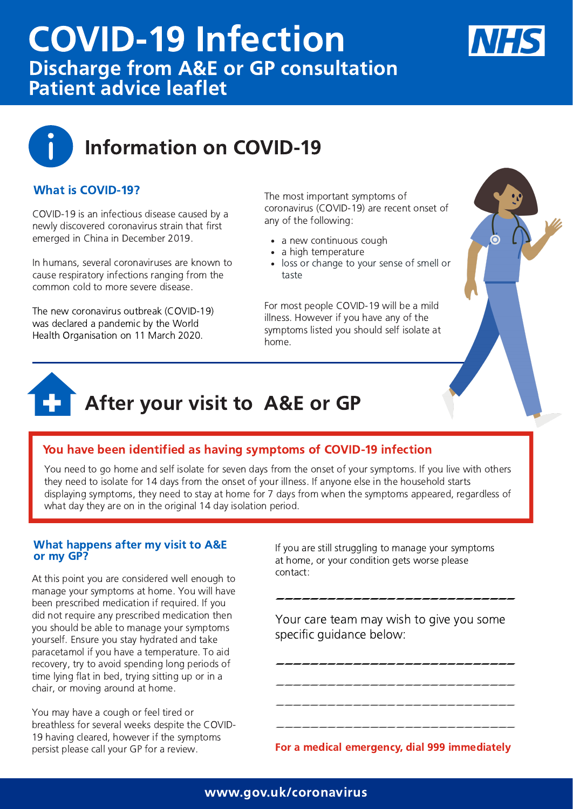# Information on COVID-19

COVID-19 is an infectious disease caused by a newly discovered coronavirus strain that first emerged in China in December 2019.

In humans, several coronaviruses are known to cause respiratory infections ranging from the common cold to more severe disease.

# COVID-19 Infection Discharge from A&E or GP consultation Patient advice leaflet



The new coronavirus outbreak (COVID-19) was declared a pandemic by the World Health Organisation on 11 March 2020.

At this point you are considered well enough to manage your symptoms at home. You will have **Eventhough your hands are not** you should be able to manage your symptoms yourself. Ensure you stay hydrated and take paracetamol II you nave a temperature. To ald<br>**recovery** try to avoid spending lope periods of time lying flat in bed, trying sitting up or in a been prescribed medication if required. If you did not require any prescribed medication then paracetamol if you have a temperature. To aid recovery, try to avoid spending long periods of chair, or moving around at home.

#### What is COVID-19?

#### You have been identified as having symptoms of COVID-19 infection

#### **with**  $\mathsf{G} \mathsf{P}$ **? with**  $\mathsf{G} \mathsf{P}$ **? with**  $\mathsf{G} \mathsf{P}$ **? with**  $\mathsf{G} \mathsf{P}$ **? with**  $\mathsf{G} \mathsf{P}$ **? with**  $\mathsf{G} \mathsf{P}$ **? with**  $\mathsf{G} \mathsf{P}$ **? with**  $\mathsf{G} \mathsf{P}$ **? with**  $\mathsf{G} \mathsf{P}$ **? with \mathsf{G} \math** What happens after my visit to A&E or my GP?

# After your visit to A&E or GP

You need to go home and self isolate for seven days from the onset of your symptoms. If you live with others they need to isolate for 14 days from the onset of your illness. If anyone else in the household starts displaying symptoms, they need to stay at home for 7 days from when the symptoms appeared, regardless of what day they are on in the original 14 day isolation period.

- a new continuous cough
- a high temperature  $\bullet$
- loss or change to your sense of smell or taste



You may have a cough or feel tired or breathless for several weeks despite the COVID-19 having cleared, however if the symptoms persist please call your GP for a review.

If you are still struggling to manage your symptoms at home, or your condition gets worse please

contact:

Your care team may wish to give you some specific guidance below:

For a medical emergency, dial 999 immediately

#### www.gov.uk/coronavirus

The most important symptoms of coronavirus (COVID-19) are recent onset of any of the following:

For most people COVID-19 will be a mild illness. However if you have any of the symptoms listed you should self isolate at home.